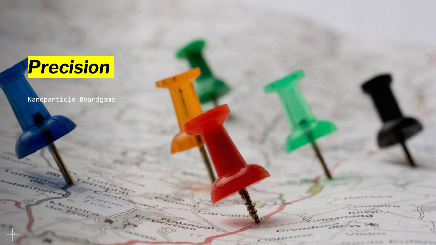# *Precision*

Nanoparticle Boardgame

 $\gamma_{10}$ 

**ROOM** 

 $=$ 

 $2501$ 

allow & Ministra

ALCOHOL: UNIC

**SECTION**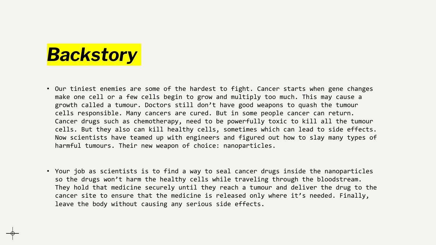## *Backstory*

- Our tiniest enemies are some of the hardest to fight. Cancer starts when gene changes make one cell or a few cells begin to grow and multiply too much. This may cause a growth called a tumour. Doctors still don't have good weapons to quash the tumour cells responsible. Many cancers are cured. But in some people cancer can return. Cancer drugs such as chemotherapy, need to be powerfully toxic to kill all the tumour cells. But they also can kill healthy cells, sometimes which can lead to side effects. Now scientists have teamed up with engineers and figured out how to slay many types of harmful tumours. Their new weapon of choice: nanoparticles.
- Your job as scientists is to find a way to seal cancer drugs inside the nanoparticles so the drugs won't harm the healthy cells while traveling through the bloodstream. They hold that medicine securely until they reach a tumour and deliver the drug to the cancer site to ensure that the medicine is released only where it's needed. Finally, leave the body without causing any serious side effects.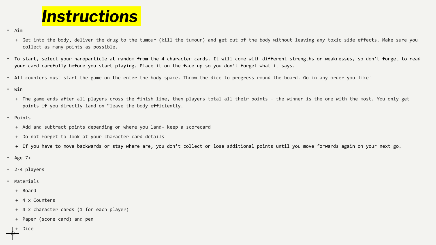#### *Instructions*

• Aim

- + Get into the body, deliver the drug to the tumour (kill the tumour) and get out of the body without leaving any toxic side effects. Make sure you collect as many points as possible.
- To start, select your nanoparticle at random from the 4 character cards. It will come with different strengths or weaknesses, so don't forget to read your card carefully before you start playing. Place it on the face up so you don't forget what it says.
- All counters must start the game on the enter the body space. Throw the dice to progress round the board. Go in any order you like!
- Win
	- + The game ends after all players cross the finish line, then players total all their points the winner is the one with the most. You only get points if you directly land on "leave the body efficiently.
- Points
	- + Add and subtract points depending on where you land- keep a scorecard
	- + Do not forget to look at your character card details
	- + If you have to move backwards or stay where are, you don't collect or lose additional points until you move forwards again on your next go.
- Age 7+
- 2-4 players
- Materials
	- + Board
	- + 4 x Counters
	- + 4 x character cards (1 for each player)
	- + Paper (score card) and pen

+ Dice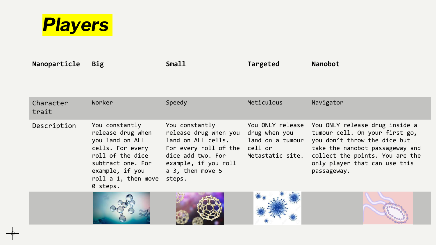

| Nanoparticle       | <b>Big</b>                                                                                                                                            | <b>Small</b>                                                                                                                                                                                                                 | Targeted      | <b>Nanobot</b>                                                                                                                                                                                                                          |
|--------------------|-------------------------------------------------------------------------------------------------------------------------------------------------------|------------------------------------------------------------------------------------------------------------------------------------------------------------------------------------------------------------------------------|---------------|-----------------------------------------------------------------------------------------------------------------------------------------------------------------------------------------------------------------------------------------|
|                    |                                                                                                                                                       |                                                                                                                                                                                                                              |               |                                                                                                                                                                                                                                         |
| Character<br>trait | Worker                                                                                                                                                | Speedy                                                                                                                                                                                                                       | Meticulous    | Navigator                                                                                                                                                                                                                               |
| Description        | You constantly<br>release drug when<br>you land on ALL<br>cells. For every<br>subtract one. For<br>example, if you<br>roll a 1, then move<br>0 steps. | You constantly<br>release drug when you<br>land on ALL cells. land on a tumour<br>For every roll of the cell or<br>roll of the dice dice add two. For Metastatic site.<br>example, if you roll<br>a 3, then move 5<br>steps. | drug when you | You ONLY release You ONLY release drug inside a<br>tumour cell. On your first go,<br>you don't throw the dice but<br>take the nanobot passageway and<br>collect the points. You are the<br>only player that can use this<br>passageway. |
|                    |                                                                                                                                                       |                                                                                                                                                                                                                              |               |                                                                                                                                                                                                                                         |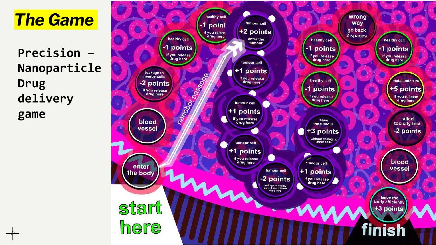### *The Game*

**Precision – Nanoparticle Drug delivery game**

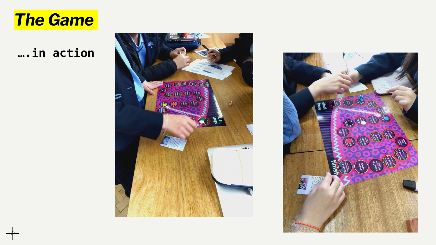#### *The Game*

**….in action**